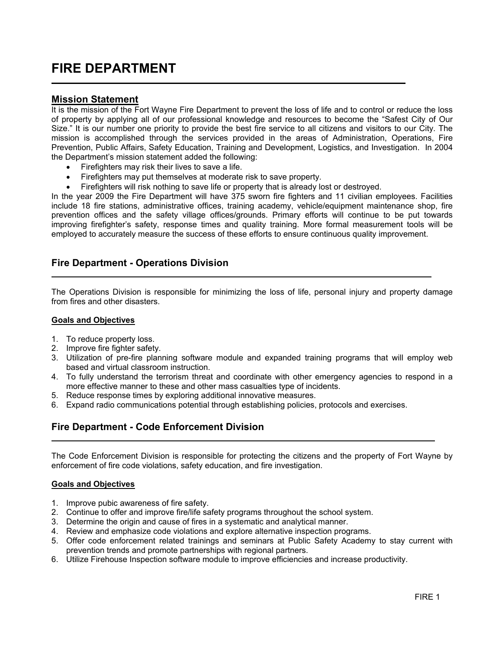# FIRE DEPARTMENT

### Mission Statement

L

It is the mission of the Fort Wayne Fire Department to prevent the loss of life and to control or reduce the loss of property by applying all of our professional knowledge and resources to become the "Safest City of Our Size." It is our number one priority to provide the best fire service to all citizens and visitors to our City. The mission is accomplished through the services provided in the areas of Administration, Operations, Fire Prevention, Public Affairs, Safety Education, Training and Development, Logistics, and Investigation. In 2004 the Department's mission statement added the following:

- Firefighters may risk their lives to save a life.
- Firefighters may put themselves at moderate risk to save property.

• Firefighters will risk nothing to save life or property that is already lost or destroyed.

In the year 2009 the Fire Department will have 375 sworn fire fighters and 11 civilian employees. Facilities include 18 fire stations, administrative offices, training academy, vehicle/equipment maintenance shop, fire prevention offices and the safety village offices/grounds. Primary efforts will continue to be put towards improving firefighter's safety, response times and quality training. More formal measurement tools will be employed to accurately measure the success of these efforts to ensure continuous quality improvement.

# Fire Department - Operations Division

The Operations Division is responsible for minimizing the loss of life, personal injury and property damage from fires and other disasters.

#### Goals and Objectives

- 1. To reduce property loss.
- 2. Improve fire fighter safety.
- 3. Utilization of pre-fire planning software module and expanded training programs that will employ web based and virtual classroom instruction.
- 4. To fully understand the terrorism threat and coordinate with other emergency agencies to respond in a more effective manner to these and other mass casualties type of incidents.
- 5. Reduce response times by exploring additional innovative measures.
- 6. Expand radio communications potential through establishing policies, protocols and exercises.

## Fire Department - Code Enforcement Division

The Code Enforcement Division is responsible for protecting the citizens and the property of Fort Wayne by enforcement of fire code violations, safety education, and fire investigation.

#### Goals and Objectives

L

- 1. Improve pubic awareness of fire safety.
- 2. Continue to offer and improve fire/life safety programs throughout the school system.
- 3. Determine the origin and cause of fires in a systematic and analytical manner.
- 4. Review and emphasize code violations and explore alternative inspection programs.
- 5. Offer code enforcement related trainings and seminars at Public Safety Academy to stay current with prevention trends and promote partnerships with regional partners.
- 6. Utilize Firehouse Inspection software module to improve efficiencies and increase productivity.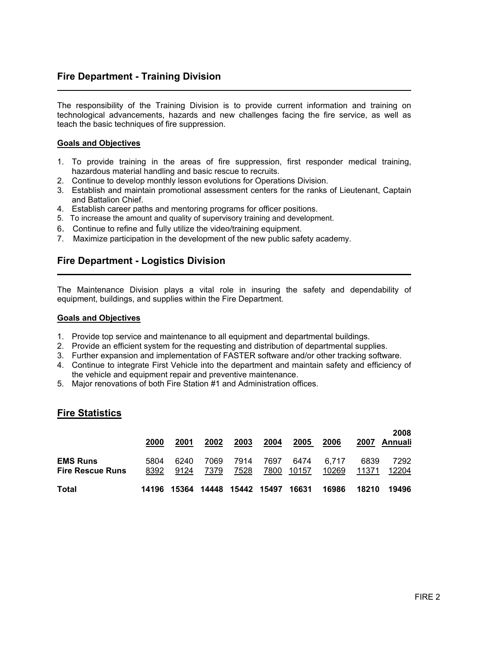# Fire Department - Training Division

The responsibility of the Training Division is to provide current information and training on technological advancements, hazards and new challenges facing the fire service, as well as teach the basic techniques of fire suppression.

#### Goals and Objectives

L

L

- 1. To provide training in the areas of fire suppression, first responder medical training, hazardous material handling and basic rescue to recruits.
- 2. Continue to develop monthly lesson evolutions for Operations Division.
- 3. Establish and maintain promotional assessment centers for the ranks of Lieutenant, Captain and Battalion Chief.
- 4. Establish career paths and mentoring programs for officer positions.
- 5. To increase the amount and quality of supervisory training and development.
- 6. Continue to refine and fully utilize the video/training equipment.
- 7. Maximize participation in the development of the new public safety academy.

### Fire Department - Logistics Division

The Maintenance Division plays a vital role in insuring the safety and dependability of equipment, buildings, and supplies within the Fire Department.

#### Goals and Objectives

- 1. Provide top service and maintenance to all equipment and departmental buildings.
- 2. Provide an efficient system for the requesting and distribution of departmental supplies.
- 3. Further expansion and implementation of FASTER software and/or other tracking software.
- 4. Continue to integrate First Vehicle into the department and maintain safety and efficiency of the vehicle and equipment repair and preventive maintenance.
- 5. Major renovations of both Fire Station #1 and Administration offices.

#### Fire Statistics

|                                            | 2000         | 2001         | 2002              | 2003         | 2004         | 2005          | 2006           | 2007          | 2008<br>Annuali |  |
|--------------------------------------------|--------------|--------------|-------------------|--------------|--------------|---------------|----------------|---------------|-----------------|--|
| <b>EMS Runs</b><br><b>Fire Rescue Runs</b> | 5804<br>8392 | 6240<br>9124 | 7069<br>7379      | 7914<br>7528 | 7697<br>7800 | 6474<br>10157 | 6.717<br>10269 | 6839<br>11371 | 7292<br>12204   |  |
| Total                                      | 14196        | 15364        | 14448 15442 15497 |              |              | 16631         | 16986          | 18210         | 19496           |  |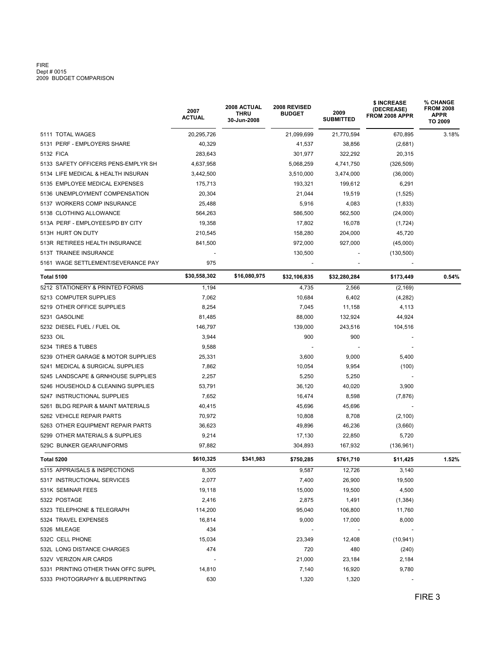# FIRE<br>Dept # 0015<br>2009 BUDGET COMPARISON

|                                     | 2007<br>ACTUAL | 2008 ACTUAL<br>2008 REVISED<br><b>THRU</b><br><b>BUDGET</b><br>30-Jun-2008 |              | 2009<br><b>SUBMITTED</b> | \$ INCREASE<br>(DECREASE)<br>FROM 2008 APPR | <b>% CHANGE</b><br><b>FROM 2008</b><br><b>APPR</b><br>TO 2009 |  |  |
|-------------------------------------|----------------|----------------------------------------------------------------------------|--------------|--------------------------|---------------------------------------------|---------------------------------------------------------------|--|--|
| 5111 TOTAL WAGES                    | 20,295,726     |                                                                            | 21,099,699   | 21,770,594               | 670,895                                     | 3.18%                                                         |  |  |
| 5131 PERF - EMPLOYERS SHARE         | 40,329         |                                                                            | 41,537       | 38,856                   | (2,681)                                     |                                                               |  |  |
| 5132 FICA                           | 283,643        |                                                                            | 301,977      | 322,292                  | 20,315                                      |                                                               |  |  |
| 5133 SAFETY OFFICERS PENS-EMPLYR SH | 4,637,958      |                                                                            | 5,068,259    | 4,741,750                | (326, 509)                                  |                                                               |  |  |
| 5134 LIFE MEDICAL & HEALTH INSURAN  | 3,442,500      |                                                                            | 3,510,000    | 3,474,000                | (36,000)                                    |                                                               |  |  |
| 5135 EMPLOYEE MEDICAL EXPENSES      | 175,713        |                                                                            | 193,321      | 199.612                  | 6,291                                       |                                                               |  |  |
| 5136 UNEMPLOYMENT COMPENSATION      | 20,304         |                                                                            | 21,044       | 19,519                   | (1,525)                                     |                                                               |  |  |
| 5137 WORKERS COMP INSURANCE         | 25,488         |                                                                            | 5,916        | 4,083                    | (1, 833)                                    |                                                               |  |  |
| 5138 CLOTHING ALLOWANCE             | 564,263        |                                                                            | 586,500      | 562,500                  | (24,000)                                    |                                                               |  |  |
| 513A PERF - EMPLOYEES/PD BY CITY    | 19,358         |                                                                            | 17,802       | 16,078                   | (1,724)                                     |                                                               |  |  |
| 513H HURT ON DUTY                   | 210,545        |                                                                            | 158,280      | 204,000                  | 45,720                                      |                                                               |  |  |
| 513R RETIREES HEALTH INSURANCE      | 841,500        |                                                                            | 972,000      | 927,000                  | (45,000)                                    |                                                               |  |  |
| 513T TRAINEE INSURANCE              |                |                                                                            | 130,500      |                          | (130, 500)                                  |                                                               |  |  |
| 5161 WAGE SETTLEMENT/SEVERANCE PAY  | 975            |                                                                            |              |                          |                                             |                                                               |  |  |
| <b>Total 5100</b>                   | \$30,558,302   | \$16,080,975                                                               | \$32,106,835 | \$32,280,284             | \$173,449                                   | 0.54%                                                         |  |  |
| 5212 STATIONERY & PRINTED FORMS     | 1,194          |                                                                            | 4,735        | 2,566                    | (2, 169)                                    |                                                               |  |  |
| 5213 COMPUTER SUPPLIES              | 7,062          |                                                                            | 10,684       | 6,402                    | (4,282)                                     |                                                               |  |  |
| 5219 OTHER OFFICE SUPPLIES          | 8,254          |                                                                            | 7,045        | 11,158                   | 4,113                                       |                                                               |  |  |
| 5231 GASOLINE                       | 81,485         |                                                                            | 88,000       | 132,924                  | 44,924                                      |                                                               |  |  |
| 5232 DIESEL FUEL / FUEL OIL         | 146,797        |                                                                            | 139,000      | 243,516                  | 104,516                                     |                                                               |  |  |
| 5233 OIL                            | 3,944          |                                                                            | 900          | 900                      |                                             |                                                               |  |  |
| 5234 TIRES & TUBES                  | 9,588          |                                                                            |              |                          |                                             |                                                               |  |  |
| 5239 OTHER GARAGE & MOTOR SUPPLIES  | 25,331         |                                                                            | 3,600        | 9,000                    | 5,400                                       |                                                               |  |  |
| 5241 MEDICAL & SURGICAL SUPPLIES    | 7,862          |                                                                            | 10,054       | 9,954                    | (100)                                       |                                                               |  |  |
| 5245 LANDSCAPE & GRNHOUSE SUPPLIES  | 2,257          |                                                                            | 5,250        | 5,250                    |                                             |                                                               |  |  |
| 5246 HOUSEHOLD & CLEANING SUPPLIES  | 53,791         |                                                                            | 36,120       | 40,020                   | 3,900                                       |                                                               |  |  |
| 5247 INSTRUCTIONAL SUPPLIES         | 7,652          |                                                                            | 16,474       | 8,598                    | (7, 876)                                    |                                                               |  |  |
| 5261 BLDG REPAIR & MAINT MATERIALS  | 40,415         |                                                                            | 45,696       | 45,696                   |                                             |                                                               |  |  |
| 5262 VEHICLE REPAIR PARTS           | 70,972         |                                                                            | 10,808       | 8,708                    | (2,100)                                     |                                                               |  |  |
| 5263 OTHER EQUIPMENT REPAIR PARTS   | 36,623         |                                                                            | 49,896       | 46,236                   | (3,660)                                     |                                                               |  |  |
| 5299 OTHER MATERIALS & SUPPLIES     | 9,214          |                                                                            | 17,130       | 22,850                   | 5,720                                       |                                                               |  |  |
| 529C BUNKER GEAR/UNIFORMS           | 97,882         |                                                                            | 304,893      | 167,932                  | (136, 961)                                  |                                                               |  |  |
| Total 5200                          | \$610,325      | \$341,983                                                                  | \$750,285    | \$761,710                | \$11,425                                    | 1.52%                                                         |  |  |
| 5315 APPRAISALS & INSPECTIONS       | 8,305          |                                                                            | 9,587        | 12,726                   | 3,140                                       |                                                               |  |  |
| 5317 INSTRUCTIONAL SERVICES         | 2,077          |                                                                            | 7,400        | 26,900                   | 19,500                                      |                                                               |  |  |
| 531K SEMINAR FEES                   | 19,118         |                                                                            | 15,000       | 19,500                   | 4,500                                       |                                                               |  |  |
| 5322 POSTAGE                        | 2,416          |                                                                            | 2,875        | 1,491                    | (1, 384)                                    |                                                               |  |  |
| 5323 TELEPHONE & TELEGRAPH          | 114,200        |                                                                            | 95,040       | 106,800                  | 11,760                                      |                                                               |  |  |
| 5324 TRAVEL EXPENSES                | 16,814         |                                                                            | 9,000        | 17,000                   | 8,000                                       |                                                               |  |  |
| 5326 MILEAGE                        | 434            |                                                                            |              |                          |                                             |                                                               |  |  |
| 532C CELL PHONE                     | 15,034         |                                                                            | 23,349       | 12,408                   | (10, 941)                                   |                                                               |  |  |
| 532L LONG DISTANCE CHARGES          | 474            |                                                                            | 720          | 480                      | (240)                                       |                                                               |  |  |
| 532V VERIZON AIR CARDS              |                |                                                                            | 21,000       | 23,184                   | 2,184                                       |                                                               |  |  |
| 5331 PRINTING OTHER THAN OFFC SUPPL | 14,810         |                                                                            | 7,140        | 16,920                   | 9,780                                       |                                                               |  |  |
| 5333 PHOTOGRAPHY & BLUEPRINTING     | 630            |                                                                            | 1,320        | 1,320                    |                                             |                                                               |  |  |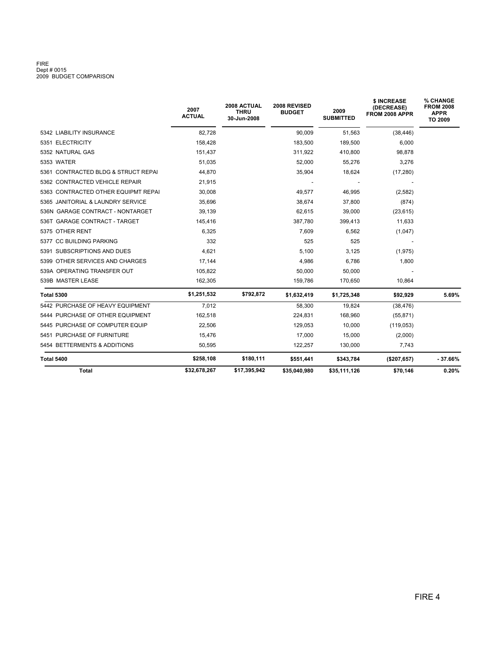# FIRE<br>Dept # 0015<br>2009 BUDGET COMPARISON

|                                     | 2007<br><b>ACTUAL</b> | 2008 ACTUAL<br><b>THRU</b><br>30-Jun-2008 | 2008 REVISED<br><b>BUDGET</b> | 2009<br><b>SUBMITTED</b> | \$ INCREASE<br>(DECREASE)<br>FROM 2008 APPR | % CHANGE<br><b>FROM 2008</b><br><b>APPR</b><br>TO 2009 |
|-------------------------------------|-----------------------|-------------------------------------------|-------------------------------|--------------------------|---------------------------------------------|--------------------------------------------------------|
| 5342 LIABILITY INSURANCE            | 82,728                |                                           | 90,009                        | 51,563                   | (38, 446)                                   |                                                        |
| 5351 ELECTRICITY                    | 158,428               |                                           | 183,500                       | 189,500                  | 6,000                                       |                                                        |
| 5352 NATURAL GAS                    | 151,437               |                                           | 311,922                       | 410,800                  | 98,878                                      |                                                        |
| 5353 WATER                          | 51,035                |                                           | 52,000                        | 55,276                   | 3,276                                       |                                                        |
| 5361 CONTRACTED BLDG & STRUCT REPAI | 44,870                |                                           | 35,904                        | 18,624                   | (17, 280)                                   |                                                        |
| 5362 CONTRACTED VEHICLE REPAIR      | 21.915                |                                           |                               |                          |                                             |                                                        |
| 5363 CONTRACTED OTHER EQUIPMT REPAI | 30,008                |                                           | 49,577                        | 46,995                   | (2, 582)                                    |                                                        |
| 5365 JANITORIAL & LAUNDRY SERVICE   | 35,696                |                                           | 38,674                        | 37,800                   | (874)                                       |                                                        |
| 536N GARAGE CONTRACT - NONTARGET    | 39,139                |                                           | 62,615                        | 39,000                   | (23, 615)                                   |                                                        |
| 536T GARAGE CONTRACT - TARGET       | 145,416               |                                           | 387,780                       | 399,413                  | 11,633                                      |                                                        |
| 5375 OTHER RENT                     | 6,325                 |                                           | 7,609                         | 6,562                    | (1,047)                                     |                                                        |
| 5377 CC BUILDING PARKING            | 332                   |                                           | 525                           | 525                      |                                             |                                                        |
| 5391 SUBSCRIPTIONS AND DUES         | 4,621                 |                                           | 5,100                         | 3,125                    | (1, 975)                                    |                                                        |
| 5399 OTHER SERVICES AND CHARGES     | 17,144                |                                           | 4,986                         | 6,786                    | 1,800                                       |                                                        |
| 539A OPERATING TRANSFER OUT         | 105,822               |                                           | 50,000                        | 50,000                   |                                             |                                                        |
| 539B MASTER LEASE                   | 162,305               |                                           | 159,786                       | 170,650                  | 10,864                                      |                                                        |
| <b>Total 5300</b>                   | \$1,251,532           | \$792,872                                 | \$1,632,419                   | \$1,725,348              | \$92,929                                    | 5.69%                                                  |
| 5442 PURCHASE OF HEAVY EQUIPMENT    | 7,012                 |                                           | 58.300                        | 19.824                   | (38, 476)                                   |                                                        |
| 5444 PURCHASE OF OTHER EQUIPMENT    | 162,518               |                                           | 224,831                       | 168,960                  | (55, 871)                                   |                                                        |
| 5445 PURCHASE OF COMPUTER EQUIP     | 22,506                |                                           | 129,053                       | 10,000                   | (119,053)                                   |                                                        |
| 5451 PURCHASE OF FURNITURE          | 15,476                |                                           | 17,000                        | 15,000                   | (2,000)                                     |                                                        |
| 5454 BETTERMENTS & ADDITIONS        | 50,595                |                                           | 122,257                       | 130,000                  | 7,743                                       |                                                        |
| Total 5400                          | \$258,108             | \$180,111                                 | \$551,441                     | \$343,784                | (\$207,657)                                 | $-37.66%$                                              |
| Total                               | \$32,678,267          | \$17,395,942                              | \$35,040,980                  | \$35,111,126             | \$70,146                                    | 0.20%                                                  |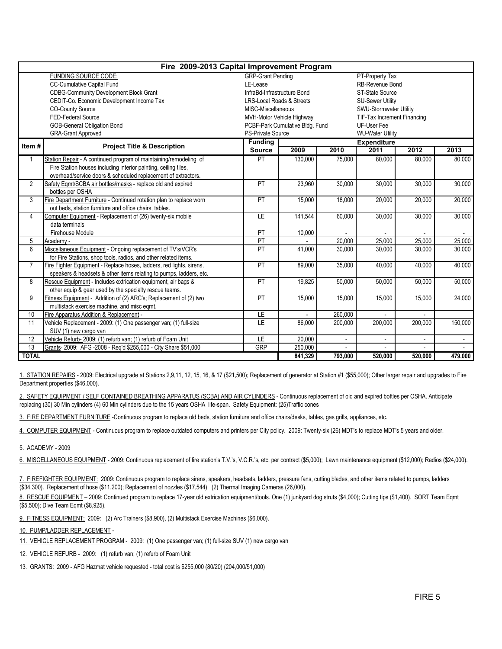| Fire 2009-2013 Capital Improvement Program                             |                                                                      |                                             |                                 |                          |                             |         |                          |  |  |  |  |  |
|------------------------------------------------------------------------|----------------------------------------------------------------------|---------------------------------------------|---------------------------------|--------------------------|-----------------------------|---------|--------------------------|--|--|--|--|--|
|                                                                        | FUNDING SOURCE CODE:                                                 | <b>GRP-Grant Pending</b><br>PT-Property Tax |                                 |                          |                             |         |                          |  |  |  |  |  |
|                                                                        | <b>CC-Cumulative Capital Fund</b>                                    | LE-Lease                                    |                                 |                          | RB-Revenue Bond             |         |                          |  |  |  |  |  |
|                                                                        | <b>CDBG-Community Development Block Grant</b>                        | InfraBd-Infrastructure Bond                 |                                 |                          | <b>ST-State Source</b>      |         |                          |  |  |  |  |  |
|                                                                        | CEDIT-Co. Economic Development Income Tax                            | <b>LRS-Local Roads &amp; Streets</b>        |                                 |                          | <b>SU-Sewer Utility</b>     |         |                          |  |  |  |  |  |
|                                                                        | <b>CO-County Source</b>                                              | MISC-Miscellaneous                          |                                 |                          | SWU-Stormwater Utility      |         |                          |  |  |  |  |  |
|                                                                        | FED-Federal Source                                                   |                                             | MVH-Motor Vehicle Highway       |                          | TIF-Tax Increment Financing |         |                          |  |  |  |  |  |
|                                                                        | <b>GOB-General Obligation Bond</b>                                   |                                             | PCBF-Park Cumulative Bldg. Fund |                          | UF-User Fee                 |         |                          |  |  |  |  |  |
|                                                                        | <b>GRA-Grant Approved</b>                                            | <b>PS-Private Source</b>                    |                                 |                          | <b>WU-Water Utility</b>     |         |                          |  |  |  |  |  |
| Item#                                                                  |                                                                      | <b>Funding</b>                              |                                 |                          | <b>Expenditure</b>          |         |                          |  |  |  |  |  |
|                                                                        | <b>Project Title &amp; Description</b>                               | <b>Source</b>                               | 2009<br>2010                    |                          | 2011                        | 2012    | 2013                     |  |  |  |  |  |
| 1                                                                      | Station Repair - A continued program of maintaining/remodeling of    | PT                                          | 130,000                         | 75,000                   | 80,000                      | 80,000  | 80,000                   |  |  |  |  |  |
|                                                                        | Fire Station houses including interior painting, ceiling tiles,      |                                             |                                 |                          |                             |         |                          |  |  |  |  |  |
|                                                                        | overhead/service doors & scheduled replacement of extractors.        |                                             |                                 |                          |                             |         |                          |  |  |  |  |  |
| $\overline{2}$                                                         | Safety Eqmt/SCBA air bottles/masks - replace old and expired         | PT                                          | 23.960                          | 30.000                   | 30.000                      | 30.000  | 30,000                   |  |  |  |  |  |
|                                                                        | bottles per OSHA                                                     |                                             |                                 |                          |                             |         |                          |  |  |  |  |  |
| 3                                                                      | Fire Department Furniture - Continued rotation plan to replace worn  | PT                                          | 15,000                          | 18.000                   | $\overline{20,000}$         | 20,000  | 20,000                   |  |  |  |  |  |
|                                                                        | out beds, station furniture and office chairs, tables.               |                                             |                                 |                          |                             |         |                          |  |  |  |  |  |
| 4                                                                      | Computer Equipment - Replacement of (26) twenty-six mobile           | LE                                          | 141,544                         | 60.000                   | 30,000                      | 30,000  | 30,000                   |  |  |  |  |  |
|                                                                        | data terminals                                                       |                                             |                                 |                          |                             |         |                          |  |  |  |  |  |
|                                                                        | Firehouse Module                                                     | PT                                          | 10,000                          |                          |                             |         | $\sim$                   |  |  |  |  |  |
| 5                                                                      | Academy -                                                            | PT                                          |                                 | 20,000                   | 25,000                      | 25,000  | 25,000                   |  |  |  |  |  |
| 6                                                                      | Miscellaneous Equipment - Ongoing replacement of TV's/VCR's          | PT                                          | 41,000                          | 30,000                   | 30.000                      | 30,000  | 30,000                   |  |  |  |  |  |
|                                                                        | for Fire Stations, shop tools, radios, and other related items.      |                                             |                                 |                          |                             |         |                          |  |  |  |  |  |
| $\overline{7}$                                                         | Fire Fighter Equipment - Replace hoses, ladders, red lights, sirens, | $\overline{PT}$                             | 89,000                          | 35,000                   | 40,000                      | 40,000  | 40,000                   |  |  |  |  |  |
|                                                                        | speakers & headsets & other items relating to pumps, ladders, etc.   |                                             |                                 |                          |                             |         |                          |  |  |  |  |  |
| 8                                                                      | Rescue Equipment - Includes extrication equipment, air bags &        | PT                                          | 19,825                          | 50,000                   | 50,000                      | 50,000  | 50,000                   |  |  |  |  |  |
|                                                                        | other equip & gear used by the specialty rescue teams.               |                                             |                                 |                          |                             |         |                          |  |  |  |  |  |
| 9                                                                      | Fitness Equipment - Addition of (2) ARC's; Replacement of (2) two    | PT                                          | 15,000                          | 15,000                   | 15,000                      | 15,000  | 24,000                   |  |  |  |  |  |
|                                                                        | multistack exercise machine, and misc egmt.                          |                                             |                                 |                          |                             |         |                          |  |  |  |  |  |
| 10                                                                     | Fire Apparatus Addition & Replacement -                              | LE                                          |                                 | 260,000                  |                             |         |                          |  |  |  |  |  |
| 11<br>Vehicle Replacement - 2009: (1) One passenger van; (1) full-size |                                                                      | LE                                          | 86,000                          | 200,000                  | 200,000                     | 200,000 | 150,000                  |  |  |  |  |  |
|                                                                        | SUV (1) new cargo van                                                |                                             |                                 |                          |                             |         |                          |  |  |  |  |  |
| 12                                                                     | Vehicle Refurb- 2009: (1) refurb van; (1) refurb of Foam Unit        | LE                                          | 20,000                          | $\overline{\phantom{0}}$ |                             |         | $\overline{\phantom{a}}$ |  |  |  |  |  |
| 13                                                                     | Grants- 2009: AFG -2008 - Req'd \$255,000 - City Share \$51,000      | <b>GRP</b>                                  | 250,000                         |                          |                             |         |                          |  |  |  |  |  |
| <b>TOTAL</b>                                                           |                                                                      |                                             | 841,329                         | 793,000                  | 520,000                     | 520,000 | 479,000                  |  |  |  |  |  |

1. STATION REPAIRS - 2009: Electrical upgrade at Stations 2,9,11, 12, 15, 16, & 17 (\$21,500); Replacement of generator at Station #1 (\$55,000); Other larger repair and upgrades to Fire Department properties (\$46,000).

2. SAFETY EQUIPMENT / SELF CONTAINED BREATHING APPARATUS (SCBA) AND AIR CYLINDERS - Continuous replacement of old and expired bottles per OSHA. Anticipate replacing (30) 30 Min cylinders (4) 60 Min cylinders due to the 15 years OSHA life-span. Safety Equipment: (25)Traffic cones

3. FIRE DEPARTMENT FURNITURE -Continuous program to replace old beds, station furniture and office chairs/desks, tables, gas grills, appliances, etc.

4. COMPUTER EQUIPMENT - Continuous program to replace outdated computers and printers per City policy. 2009: Twenty-six (26) MDT's to replace MDT's 5 years and older.

5. ACADEMY - 2009

6. MISCELLANEOUS EQUIPMENT - 2009: Continuous replacement of fire station's T.V.'s, V.C.R.'s, etc. per contract (\$5,000); Lawn maintenance equipment (\$12,000); Radios (\$24,000).

7. FIREFIGHTER EQUIPMENT: 2009: Continuous program to replace sirens, speakers, headsets, ladders, pressure fans, cutting blades, and other items related to pumps, ladders (\$34,300). Replacement of hose (\$11,200); Replacement of nozzles (\$17,544) (2) Thermal Imaging Cameras (26,000).

8. RESCUE EQUIPMENT – 2009: Continued program to replace 17-year old extrication equipment/tools. One (1) junkyard dog struts (\$4,000); Cutting tips (\$1,400). SORT Team Eqmt (\$5,500); Dive Team Eqmt (\$8,925).

9. FITNESS EQUIPMENT: 2009: (2) Arc Trainers (\$8,900), (2) Multistack Exercise Machines (\$6,000).

10. PUMP/LADDER REPLACEMENT -

11. VEHICLE REPLACEMENT PROGRAM - 2009: (1) One passenger van; (1) full-size SUV (1) new cargo van

12. VEHICLE REFURB - 2009: (1) refurb van; (1) refurb of Foam Unit

13. GRANTS: 2009 - AFG Hazmat vehicle requested - total cost is \$255,000 (80/20) (204,000/51,000)